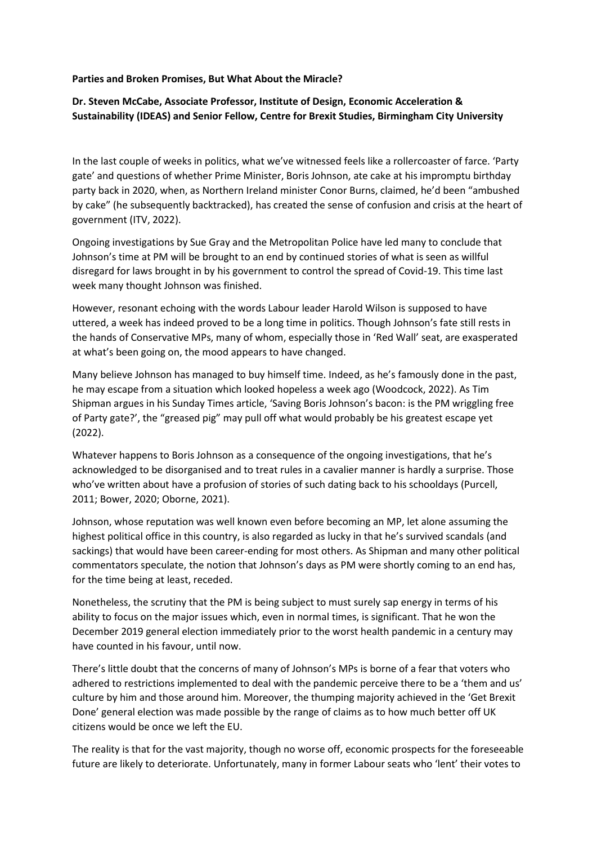## **Parties and Broken Promises, But What About the Miracle?**

## **Dr. Steven McCabe, Associate Professor, Institute of Design, Economic Acceleration & Sustainability (IDEAS) and Senior Fellow, Centre for Brexit Studies, Birmingham City University**

In the last couple of weeks in politics, what we've witnessed feels like a rollercoaster of farce. 'Party gate' and questions of whether Prime Minister, Boris Johnson, ate cake at his impromptu birthday party back in 2020, when, as Northern Ireland minister Conor Burns, claimed, he'd been "ambushed by cake" (he subsequently backtracked), has created the sense of confusion and crisis at the heart of government (ITV, 2022).

Ongoing investigations by Sue Gray and the Metropolitan Police have led many to conclude that Johnson's time at PM will be brought to an end by continued stories of what is seen as willful disregard for laws brought in by his government to control the spread of Covid-19. This time last week many thought Johnson was finished.

However, resonant echoing with the words Labour leader Harold Wilson is supposed to have uttered, a week has indeed proved to be a long time in politics. Though Johnson's fate still rests in the hands of Conservative MPs, many of whom, especially those in 'Red Wall' seat, are exasperated at what's been going on, the mood appears to have changed.

Many believe Johnson has managed to buy himself time. Indeed, as he's famously done in the past, he may escape from a situation which looked hopeless a week ago (Woodcock, 2022). As Tim Shipman argues in his Sunday Times article, 'Saving Boris Johnson's bacon: is the PM wriggling free of Party gate?', the "greased pig" may pull off what would probably be his greatest escape yet (2022).

Whatever happens to Boris Johnson as a consequence of the ongoing investigations, that he's acknowledged to be disorganised and to treat rules in a cavalier manner is hardly a surprise. Those who've written about have a profusion of stories of such dating back to his schooldays (Purcell, 2011; Bower, 2020; Oborne, 2021).

Johnson, whose reputation was well known even before becoming an MP, let alone assuming the highest political office in this country, is also regarded as lucky in that he's survived scandals (and sackings) that would have been career-ending for most others. As Shipman and many other political commentators speculate, the notion that Johnson's days as PM were shortly coming to an end has, for the time being at least, receded.

Nonetheless, the scrutiny that the PM is being subject to must surely sap energy in terms of his ability to focus on the major issues which, even in normal times, is significant. That he won the December 2019 general election immediately prior to the worst health pandemic in a century may have counted in his favour, until now.

There's little doubt that the concerns of many of Johnson's MPs is borne of a fear that voters who adhered to restrictions implemented to deal with the pandemic perceive there to be a 'them and us' culture by him and those around him. Moreover, the thumping majority achieved in the 'Get Brexit Done' general election was made possible by the range of claims as to how much better off UK citizens would be once we left the EU.

The reality is that for the vast majority, though no worse off, economic prospects for the foreseeable future are likely to deteriorate. Unfortunately, many in former Labour seats who 'lent' their votes to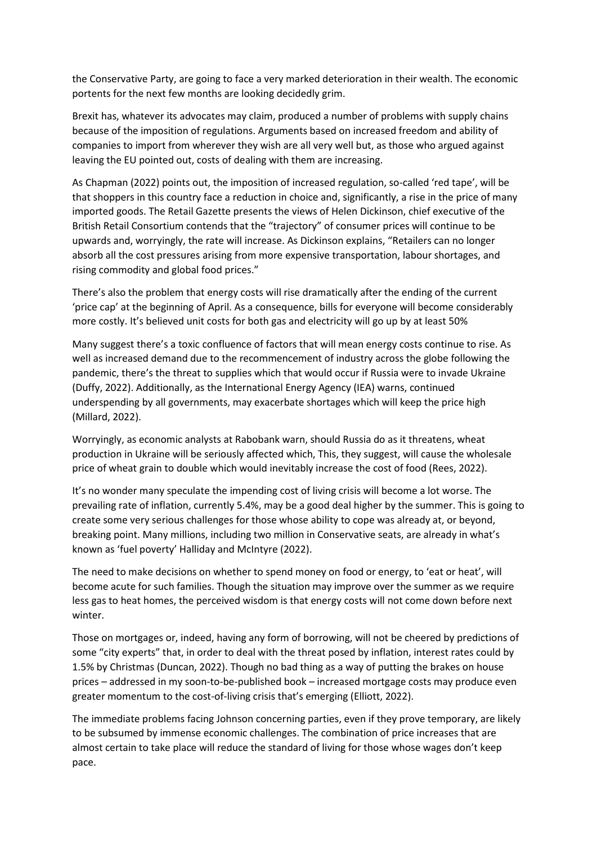the Conservative Party, are going to face a very marked deterioration in their wealth. The economic portents for the next few months are looking decidedly grim.

Brexit has, whatever its advocates may claim, produced a number of problems with supply chains because of the imposition of regulations. Arguments based on increased freedom and ability of companies to import from wherever they wish are all very well but, as those who argued against leaving the EU pointed out, costs of dealing with them are increasing.

As Chapman (2022) points out, the imposition of increased regulation, so-called 'red tape', will be that shoppers in this country face a reduction in choice and, significantly, a rise in the price of many imported goods. The Retail Gazette presents the views of Helen Dickinson, chief executive of the British Retail Consortium contends that the "trajectory" of consumer prices will continue to be upwards and, worryingly, the rate will increase. As Dickinson explains, "Retailers can no longer absorb all the cost pressures arising from more expensive transportation, labour shortages, and rising commodity and global food prices."

There's also the problem that energy costs will rise dramatically after the ending of the current 'price cap' at the beginning of April. As a consequence, bills for everyone will become considerably more costly. It's believed unit costs for both gas and electricity will go up by at least 50%

Many suggest there's a toxic confluence of factors that will mean energy costs continue to rise. As well as increased demand due to the recommencement of industry across the globe following the pandemic, there's the threat to supplies which that would occur if Russia were to invade Ukraine (Duffy, 2022). Additionally, as the International Energy Agency (IEA) warns, continued underspending by all governments, may exacerbate shortages which will keep the price high (Millard, 2022).

Worryingly, as economic analysts at Rabobank warn, should Russia do as it threatens, wheat production in Ukraine will be seriously affected which, This, they suggest, will cause the wholesale price of wheat grain to double which would inevitably increase the cost of food (Rees, 2022).

It's no wonder many speculate the impending cost of living crisis will become a lot worse. The prevailing rate of inflation, currently 5.4%, may be a good deal higher by the summer. This is going to create some very serious challenges for those whose ability to cope was already at, or beyond, breaking point. Many millions, including two million in Conservative seats, are already in what's known as 'fuel poverty' Halliday and McIntyre (2022).

The need to make decisions on whether to spend money on food or energy, to 'eat or heat', will become acute for such families. Though the situation may improve over the summer as we require less gas to heat homes, the perceived wisdom is that energy costs will not come down before next winter.

Those on mortgages or, indeed, having any form of borrowing, will not be cheered by predictions of some "city experts" that, in order to deal with the threat posed by inflation, interest rates could by 1.5% by Christmas (Duncan, 2022). Though no bad thing as a way of putting the brakes on house prices – addressed in my soon-to-be-published book – increased mortgage costs may produce even greater momentum to the cost-of-living crisis that's emerging (Elliott, 2022).

The immediate problems facing Johnson concerning parties, even if they prove temporary, are likely to be subsumed by immense economic challenges. The combination of price increases that are almost certain to take place will reduce the standard of living for those whose wages don't keep pace.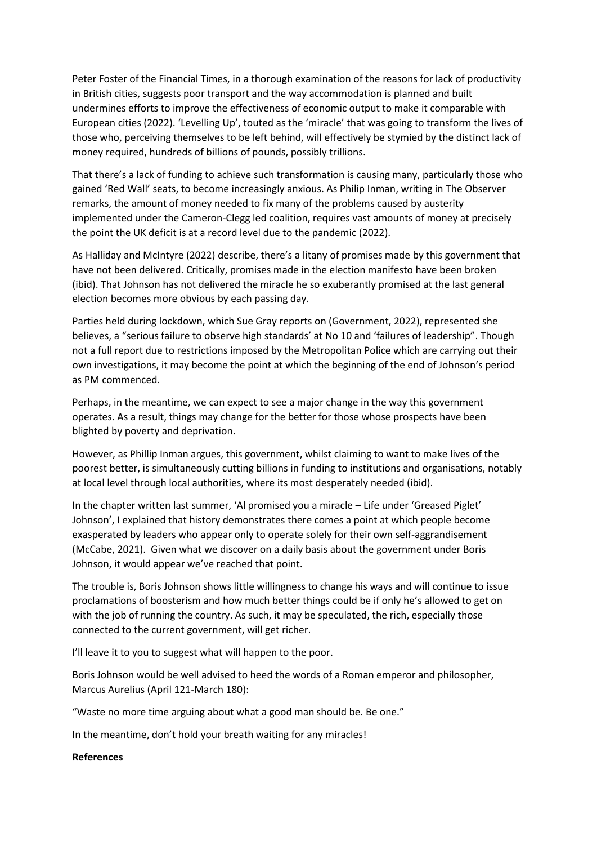Peter Foster of the Financial Times, in a thorough examination of the reasons for lack of productivity in British cities, suggests poor transport and the way accommodation is planned and built undermines efforts to improve the effectiveness of economic output to make it comparable with European cities (2022). 'Levelling Up', touted as the 'miracle' that was going to transform the lives of those who, perceiving themselves to be left behind, will effectively be stymied by the distinct lack of money required, hundreds of billions of pounds, possibly trillions.

That there's a lack of funding to achieve such transformation is causing many, particularly those who gained 'Red Wall' seats, to become increasingly anxious. As Philip Inman, writing in The Observer remarks, the amount of money needed to fix many of the problems caused by austerity implemented under the Cameron-Clegg led coalition, requires vast amounts of money at precisely the point the UK deficit is at a record level due to the pandemic (2022).

As Halliday and McIntyre (2022) describe, there's a litany of promises made by this government that have not been delivered. Critically, promises made in the election manifesto have been broken (ibid). That Johnson has not delivered the miracle he so exuberantly promised at the last general election becomes more obvious by each passing day.

Parties held during lockdown, which Sue Gray reports on (Government, 2022), represented she believes, a "serious failure to observe high standards' at No 10 and 'failures of leadership". Though not a full report due to restrictions imposed by the Metropolitan Police which are carrying out their own investigations, it may become the point at which the beginning of the end of Johnson's period as PM commenced.

Perhaps, in the meantime, we can expect to see a major change in the way this government operates. As a result, things may change for the better for those whose prospects have been blighted by poverty and deprivation.

However, as Phillip Inman argues, this government, whilst claiming to want to make lives of the poorest better, is simultaneously cutting billions in funding to institutions and organisations, notably at local level through local authorities, where its most desperately needed (ibid).

In the chapter written last summer, 'Al promised you a miracle – Life under 'Greased Piglet' Johnson', I explained that history demonstrates there comes a point at which people become exasperated by leaders who appear only to operate solely for their own self-aggrandisement (McCabe, 2021). Given what we discover on a daily basis about the government under Boris Johnson, it would appear we've reached that point.

The trouble is, Boris Johnson shows little willingness to change his ways and will continue to issue proclamations of boosterism and how much better things could be if only he's allowed to get on with the job of running the country. As such, it may be speculated, the rich, especially those connected to the current government, will get richer.

I'll leave it to you to suggest what will happen to the poor.

Boris Johnson would be well advised to heed the words of a Roman emperor and philosopher, Marcus Aurelius (April 121-March 180):

"Waste no more time arguing about what a good man should be. Be one."

In the meantime, don't hold your breath waiting for any miracles!

**References**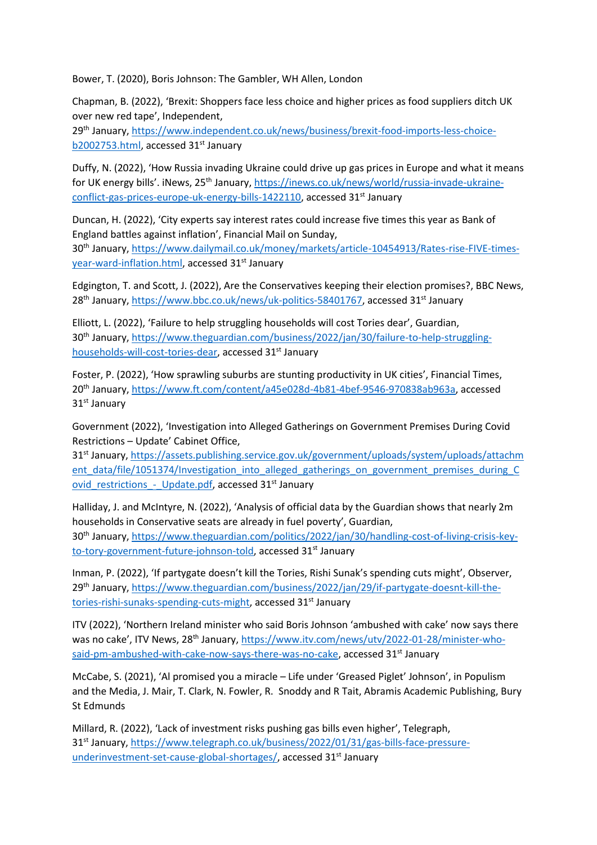Bower, T. (2020), Boris Johnson: The Gambler, WH Allen, London

Chapman, B. (2022), 'Brexit: Shoppers face less choice and higher prices as food suppliers ditch UK over new red tape', Independent,

29<sup>th</sup> January, [https://www.independent.co.uk/news/business/brexit-food-imports-less-choice](https://www.independent.co.uk/news/business/brexit-food-imports-less-choice-b2002753.html)[b2002753.html,](https://www.independent.co.uk/news/business/brexit-food-imports-less-choice-b2002753.html) accessed 31<sup>st</sup> January

Duffy, N. (2022), 'How Russia invading Ukraine could drive up gas prices in Europe and what it means for UK energy bills'. iNews, 25<sup>th</sup> January, [https://inews.co.uk/news/world/russia-invade-ukraine](https://inews.co.uk/news/world/russia-invade-ukraine-conflict-gas-prices-europe-uk-energy-bills-1422110)[conflict-gas-prices-europe-uk-energy-bills-1422110,](https://inews.co.uk/news/world/russia-invade-ukraine-conflict-gas-prices-europe-uk-energy-bills-1422110) accessed 31st January

Duncan, H. (2022), 'City experts say interest rates could increase five times this year as Bank of England battles against inflation', Financial Mail on Sunday, 30<sup>th</sup> January, [https://www.dailymail.co.uk/money/markets/article-10454913/Rates-rise-FIVE-times](https://www.dailymail.co.uk/money/markets/article-10454913/Rates-rise-FIVE-times-year-ward-inflation.html)[year-ward-inflation.html,](https://www.dailymail.co.uk/money/markets/article-10454913/Rates-rise-FIVE-times-year-ward-inflation.html) accessed 31<sup>st</sup> January

Edgington, T. and Scott, J. (2022), Are the Conservatives keeping their election promises?, BBC News, 28<sup>th</sup> January, [https://www.bbc.co.uk/news/uk-politics-58401767,](https://www.bbc.co.uk/news/uk-politics-58401767) accessed 31<sup>st</sup> January

Elliott, L. (2022), 'Failure to help struggling households will cost Tories dear', Guardian, 30th January, [https://www.theguardian.com/business/2022/jan/30/failure-to-help-struggling](https://www.theguardian.com/business/2022/jan/30/failure-to-help-struggling-households-will-cost-tories-dear)[households-will-cost-tories-dear,](https://www.theguardian.com/business/2022/jan/30/failure-to-help-struggling-households-will-cost-tories-dear) accessed 31<sup>st</sup> January

Foster, P. (2022), 'How sprawling suburbs are stunting productivity in UK cities', Financial Times, 20<sup>th</sup> January, [https://www.ft.com/content/a45e028d-4b81-4bef-9546-970838ab963a,](https://www.ft.com/content/a45e028d-4b81-4bef-9546-970838ab963a) accessed 31<sup>st</sup> January

Government (2022), 'Investigation into Alleged Gatherings on Government Premises During Covid Restrictions – Update' Cabinet Office,

31<sup>st</sup> January, [https://assets.publishing.service.gov.uk/government/uploads/system/uploads/attachm](https://assets.publishing.service.gov.uk/government/uploads/system/uploads/attachment_data/file/1051374/Investigation_into_alleged_gatherings_on_government_premises_during_Covid_restrictions_-_Update.pdf) [ent\\_data/file/1051374/Investigation\\_into\\_alleged\\_gatherings\\_on\\_government\\_premises\\_during\\_C](https://assets.publishing.service.gov.uk/government/uploads/system/uploads/attachment_data/file/1051374/Investigation_into_alleged_gatherings_on_government_premises_during_Covid_restrictions_-_Update.pdf) ovid restrictions - Update.pdf, accessed 31<sup>st</sup> January

Halliday, J. and McIntyre, N. (2022), 'Analysis of official data by the Guardian shows that nearly 2m households in Conservative seats are already in fuel poverty', Guardian, 30th January, [https://www.theguardian.com/politics/2022/jan/30/handling-cost-of-living-crisis-key](https://www.theguardian.com/politics/2022/jan/30/handling-cost-of-living-crisis-key-to-tory-government-future-johnson-told)[to-tory-government-future-johnson-told,](https://www.theguardian.com/politics/2022/jan/30/handling-cost-of-living-crisis-key-to-tory-government-future-johnson-told) accessed 31<sup>st</sup> January

Inman, P. (2022), 'If partygate doesn't kill the Tories, Rishi Sunak's spending cuts might', Observer, 29th January, [https://www.theguardian.com/business/2022/jan/29/if-partygate-doesnt-kill-the](https://www.theguardian.com/business/2022/jan/29/if-partygate-doesnt-kill-the-tories-rishi-sunaks-spending-cuts-might)[tories-rishi-sunaks-spending-cuts-might,](https://www.theguardian.com/business/2022/jan/29/if-partygate-doesnt-kill-the-tories-rishi-sunaks-spending-cuts-might) accessed 31<sup>st</sup> January

ITV (2022), 'Northern Ireland minister who said Boris Johnson 'ambushed with cake' now says there was no cake', ITV News, 28<sup>th</sup> January, [https://www.itv.com/news/utv/2022-01-28/minister-who](https://www.itv.com/news/utv/2022-01-28/minister-who-said-pm-ambushed-with-cake-now-says-there-was-no-cake)[said-pm-ambushed-with-cake-now-says-there-was-no-cake,](https://www.itv.com/news/utv/2022-01-28/minister-who-said-pm-ambushed-with-cake-now-says-there-was-no-cake) accessed 31<sup>st</sup> January

McCabe, S. (2021), 'Al promised you a miracle – Life under 'Greased Piglet' Johnson', in Populism and the Media, J. Mair, T. Clark, N. Fowler, R. Snoddy and R Tait, Abramis Academic Publishing, Bury St Edmunds

Millard, R. (2022), 'Lack of investment risks pushing gas bills even higher', Telegraph, 31st January, [https://www.telegraph.co.uk/business/2022/01/31/gas-bills-face-pressure](https://www.telegraph.co.uk/business/2022/01/31/gas-bills-face-pressure-underinvestment-set-cause-global-shortages/)[underinvestment-set-cause-global-shortages/,](https://www.telegraph.co.uk/business/2022/01/31/gas-bills-face-pressure-underinvestment-set-cause-global-shortages/) accessed 31<sup>st</sup> January